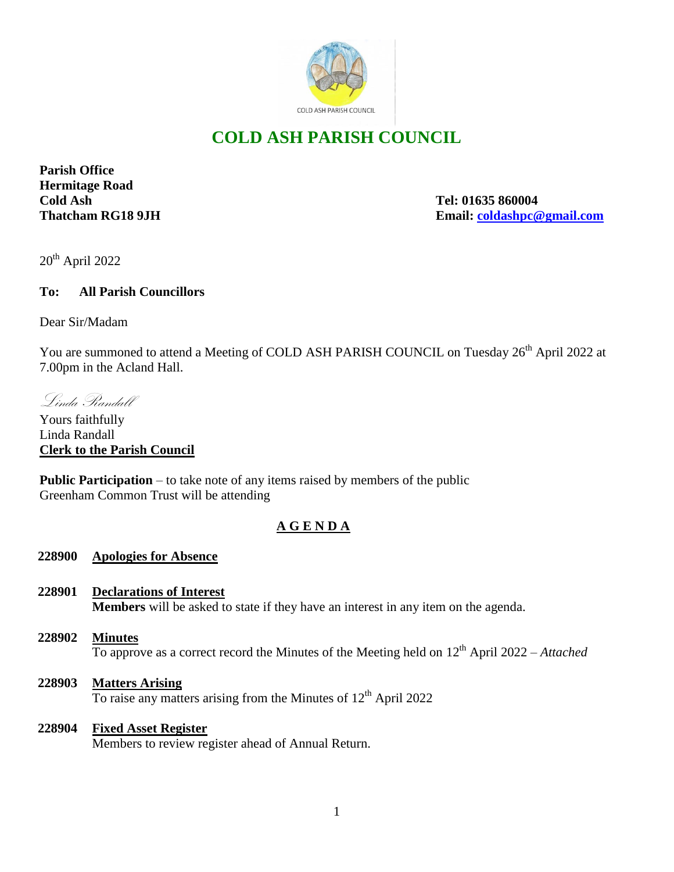

# **COLD ASH PARISH COUNCIL**

**Parish Office Hermitage Road Cold Ash Tel: 01635 860004**

**Thatcham RG18 9JH Email: [coldashpc@gmail.com](mailto:coldashpc@gmail.com)**

 $20^{th}$  April 2022

## **To: All Parish Councillors**

Dear Sir/Madam

You are summoned to attend a Meeting of COLD ASH PARISH COUNCIL on Tuesday 26<sup>th</sup> April 2022 at 7.00pm in the Acland Hall.

Linda Randall

Yours faithfully Linda Randall **Clerk to the Parish Council** 

**Public Participation** – to take note of any items raised by members of the public Greenham Common Trust will be attending

# **A G E N D A**

## **228900 Apologies for Absence**

- **228901 Declarations of Interest Members** will be asked to state if they have an interest in any item on the agenda.
- **228902 Minutes** To approve as a correct record the Minutes of the Meeting held on 12th April 2022 – *Attached*
- **228903 Matters Arising** To raise any matters arising from the Minutes of  $12<sup>th</sup>$  April 2022

#### **228904 Fixed Asset Register**

Members to review register ahead of Annual Return.